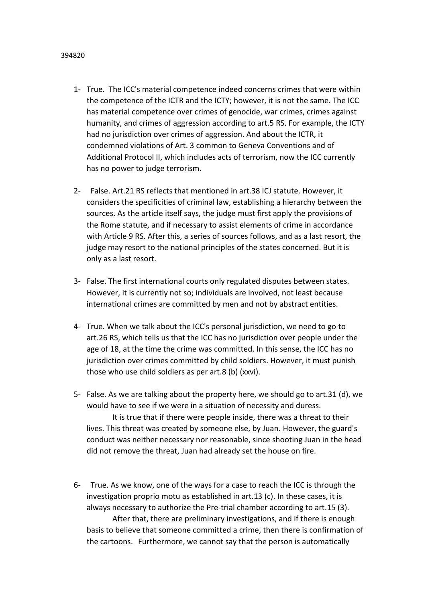- 1- True. The ICC's material competence indeed concerns crimes that were within the competence of the ICTR and the ICTY; however, it is not the same. The ICC has material competence over crimes of genocide, war crimes, crimes against
	- humanity, and crimes of aggression according to art.5 RS. For example, the ICTY had no jurisdiction over crimes of aggression. And about the ICTR, it condemned violations of Art. 3 common to Geneva Conventions and of Additional Protocol II, which includes acts of terrorism, now the ICC currently has no power to judge terrorism.
	- 2- False. Art.21 RS reflects that mentioned in art.38 ICJ statute. However, it considers the specificities of criminal law, establishing a hierarchy between the sources. As the article itself says, the judge must first apply the provisions of the Rome statute, and if necessary to assist elements of crime in accordance with Article 9 RS. After this, a series of sources follows, and as a last resort, the judge may resort to the national principles of the states concerned. But it is only as a last resort.
	- 3- False. The first international courts only regulated disputes between states. However, it is currently not so; individuals are involved, not least because international crimes are committed by men and not by abstract entities.
	- 4- True. When we talk about the ICC's personal jurisdiction, we need to go to art.26 RS, which tells us that the ICC has no jurisdiction over people under the age of 18, at the time the crime was committed. In this sense, the ICC has no jurisdiction over crimes committed by child soldiers. However, it must punish those who use child soldiers as per art.8 (b) (xxvi).
	- 5- False. As we are talking about the property here, we should go to art.31 (d), we would have to see if we were in a situation of necessity and duress. It is true that if there were people inside, there was a threat to their

lives. This threat was created by someone else, by Juan. However, the guard's conduct was neither necessary nor reasonable, since shooting Juan in the head did not remove the threat, Juan had already set the house on fire.

6- True. As we know, one of the ways for a case to reach the ICC is through the investigation proprio motu as established in art.13 (c). In these cases, it is always necessary to authorize the Pre-trial chamber according to art.15 (3).

After that, there are preliminary investigations, and if there is enough basis to believe that someone committed a crime, then there is confirmation of the cartoons. Furthermore, we cannot say that the person is automatically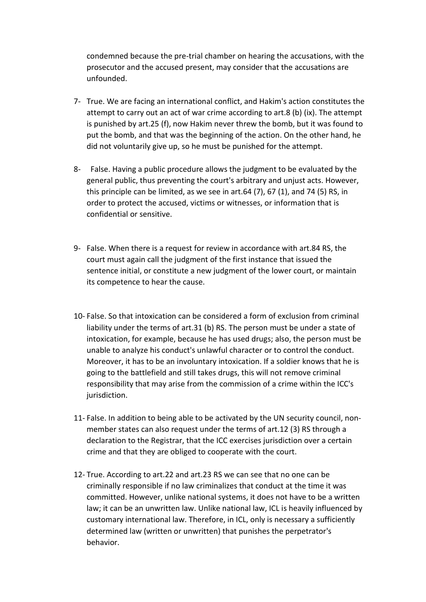condemned because the pre-trial chamber on hearing the accusations, with the prosecutor and the accused present, may consider that the accusations are unfounded.

- 7- True. We are facing an international conflict, and Hakim's action constitutes the attempt to carry out an act of war crime according to art.8 (b) (ix). The attempt is punished by art.25 (f), now Hakim never threw the bomb, but it was found to put the bomb, and that was the beginning of the action. On the other hand, he did not voluntarily give up, so he must be punished for the attempt.
- 8- False. Having a public procedure allows the judgment to be evaluated by the general public, thus preventing the court's arbitrary and unjust acts. However, this principle can be limited, as we see in art.64 (7), 67 (1), and 74 (5) RS, in order to protect the accused, victims or witnesses, or information that is confidential or sensitive.
- 9- False. When there is a request for review in accordance with art.84 RS, the court must again call the judgment of the first instance that issued the sentence initial, or constitute a new judgment of the lower court, or maintain its competence to hear the cause.
- 10- False. So that intoxication can be considered a form of exclusion from criminal liability under the terms of art.31 (b) RS. The person must be under a state of intoxication, for example, because he has used drugs; also, the person must be unable to analyze his conduct's unlawful character or to control the conduct. Moreover, it has to be an involuntary intoxication. If a soldier knows that he is going to the battlefield and still takes drugs, this will not remove criminal responsibility that may arise from the commission of a crime within the ICC's jurisdiction.
- 11- False. In addition to being able to be activated by the UN security council, nonmember states can also request under the terms of art.12 (3) RS through a declaration to the Registrar, that the ICC exercises jurisdiction over a certain crime and that they are obliged to cooperate with the court.
- 12- True. According to art.22 and art.23 RS we can see that no one can be criminally responsible if no law criminalizes that conduct at the time it was committed. However, unlike national systems, it does not have to be a written law; it can be an unwritten law. Unlike national law, ICL is heavily influenced by customary international law. Therefore, in ICL, only is necessary a sufficiently determined law (written or unwritten) that punishes the perpetrator's behavior.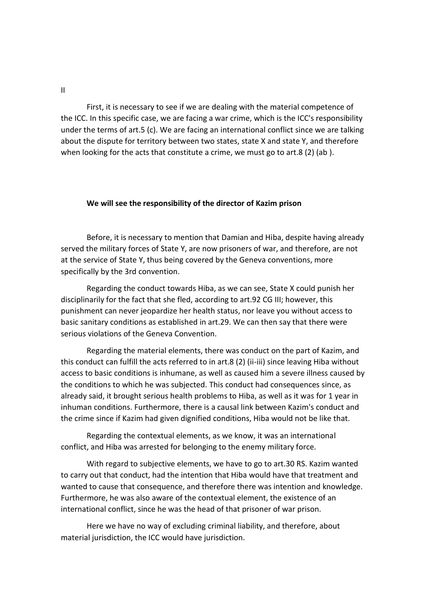II

First, it is necessary to see if we are dealing with the material competence of the ICC. In this specific case, we are facing a war crime, which is the ICC's responsibility under the terms of art.5 (c). We are facing an international conflict since we are talking about the dispute for territory between two states, state X and state Y, and therefore when looking for the acts that constitute a crime, we must go to art.8 (2) (ab).

## **We will see the responsibility of the director of Kazim prison**

Before, it is necessary to mention that Damian and Hiba, despite having already served the military forces of State Y, are now prisoners of war, and therefore, are not at the service of State Y, thus being covered by the Geneva conventions, more specifically by the 3rd convention.

Regarding the conduct towards Hiba, as we can see, State X could punish her disciplinarily for the fact that she fled, according to art.92 CG III; however, this punishment can never jeopardize her health status, nor leave you without access to basic sanitary conditions as established in art.29. We can then say that there were serious violations of the Geneva Convention.

Regarding the material elements, there was conduct on the part of Kazim, and this conduct can fulfill the acts referred to in art.8 (2) (ii-iii) since leaving Hiba without access to basic conditions is inhumane, as well as caused him a severe illness caused by the conditions to which he was subjected. This conduct had consequences since, as already said, it brought serious health problems to Hiba, as well as it was for 1 year in inhuman conditions. Furthermore, there is a causal link between Kazim's conduct and the crime since if Kazim had given dignified conditions, Hiba would not be like that.

Regarding the contextual elements, as we know, it was an international conflict, and Hiba was arrested for belonging to the enemy military force.

With regard to subjective elements, we have to go to art.30 RS. Kazim wanted to carry out that conduct, had the intention that Hiba would have that treatment and wanted to cause that consequence, and therefore there was intention and knowledge. Furthermore, he was also aware of the contextual element, the existence of an international conflict, since he was the head of that prisoner of war prison.

Here we have no way of excluding criminal liability, and therefore, about material jurisdiction, the ICC would have jurisdiction.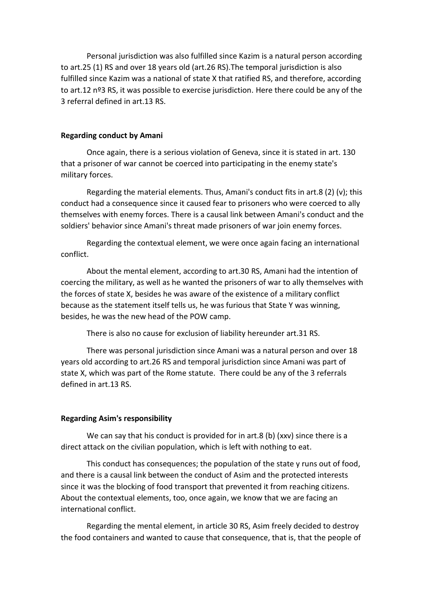Personal jurisdiction was also fulfilled since Kazim is a natural person according to art.25 (1) RS and over 18 years old (art.26 RS).The temporal jurisdiction is also fulfilled since Kazim was a national of state X that ratified RS, and therefore, according to art.12 nº3 RS, it was possible to exercise jurisdiction. Here there could be any of the 3 referral defined in art.13 RS.

## **Regarding conduct by Amani**

Once again, there is a serious violation of Geneva, since it is stated in art. 130 that a prisoner of war cannot be coerced into participating in the enemy state's military forces.

Regarding the material elements. Thus, Amani's conduct fits in art.8 (2) (v); this conduct had a consequence since it caused fear to prisoners who were coerced to ally themselves with enemy forces. There is a causal link between Amani's conduct and the soldiers' behavior since Amani's threat made prisoners of war join enemy forces.

Regarding the contextual element, we were once again facing an international conflict.

About the mental element, according to art.30 RS, Amani had the intention of coercing the military, as well as he wanted the prisoners of war to ally themselves with the forces of state X, besides he was aware of the existence of a military conflict because as the statement itself tells us, he was furious that State Y was winning, besides, he was the new head of the POW camp.

There is also no cause for exclusion of liability hereunder art.31 RS.

There was personal jurisdiction since Amani was a natural person and over 18 years old according to art.26 RS and temporal jurisdiction since Amani was part of state X, which was part of the Rome statute. There could be any of the 3 referrals defined in art.13 RS.

## **Regarding Asim's responsibility**

We can say that his conduct is provided for in art.8 (b) (xxv) since there is a direct attack on the civilian population, which is left with nothing to eat.

This conduct has consequences; the population of the state y runs out of food, and there is a causal link between the conduct of Asim and the protected interests since it was the blocking of food transport that prevented it from reaching citizens. About the contextual elements, too, once again, we know that we are facing an international conflict.

Regarding the mental element, in article 30 RS, Asim freely decided to destroy the food containers and wanted to cause that consequence, that is, that the people of